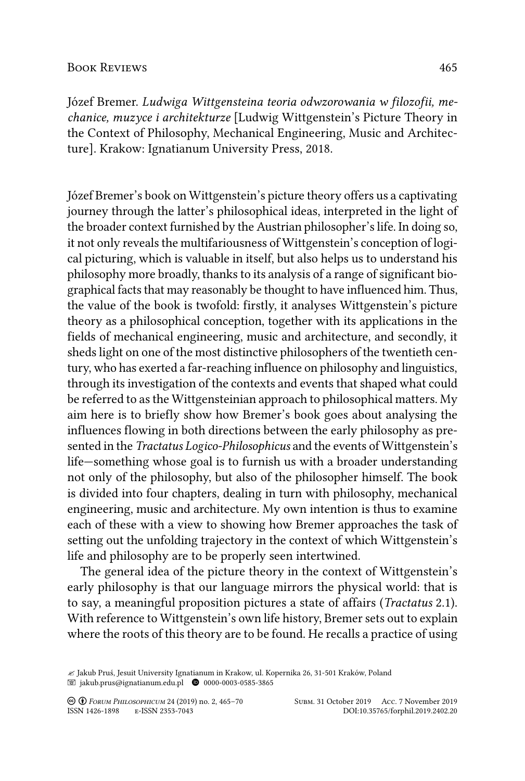## Book Reviews 465

Józef Bremer. *Ludwiga Wittgensteina teoria odwzorowania w filozofii, mechanice, muzyce i architekturze* [Ludwig Wittgenstein's Picture Theory in the Context of Philosophy, Mechanical Engineering, Music and Architecture]. Krakow: Ignatianum University Press, 2018.

Józef Bremer's book on Wittgenstein's picture theory offers us a captivating journey through the latter's philosophical ideas, interpreted in the light of the broader context furnished by the Austrian philosopher's life. In doing so, it not only reveals the multifariousness of Wittgenstein's conception of logical picturing, which is valuable in itself, but also helps us to understand his philosophy more broadly, thanks to its analysis of a range of significant biographical facts that may reasonably be thought to have influenced him. Thus, the value of the book is twofold: firstly, it analyses Wittgenstein's picture theory as a philosophical conception, together with its applications in the fields of mechanical engineering, music and architecture, and secondly, it sheds light on one of the most distinctive philosophers of the twentieth century, who has exerted a far-reaching influence on philosophy and linguistics, through its investigation of the contexts and events that shaped what could be referred to as the Wittgensteinian approach to philosophical matters. My aim here is to briefly show how Bremer's book goes about analysing the influences flowing in both directions between the early philosophy as presented in the *Tractatus Logico-Philosophicus* and the events of Wittgenstein's life—something whose goal is to furnish us with a broader understanding not only of the philosophy, but also of the philosopher himself. The book is divided into four chapters, dealing in turn with philosophy, mechanical engineering, music and architecture. My own intention is thus to examine each of these with a view to showing how Bremer approaches the task of setting out the unfolding trajectory in the context of which Wittgenstein's life and philosophy are to be properly seen intertwined.

The general idea of the picture theory in the context of Wittgenstein's early philosophy is that our language mirrors the physical world: that is to say, a meaningful proposition pictures a state of affairs (*Tractatus* 2.1). With reference to Wittgenstein's own life history, Bremer sets out to explain where the roots of this theory are to be found. He recalls a practice of using

<sup>&</sup>quot; Jakub Pruś, Jesuit University Ignatianum in Krakow, ul. Kopernika 26, 31-501 Kraków, Poland  $\quad \textcircled{\small\bf 3}$ jakub.prus@ignatianum.edu.pl $\quad \textcircled{\small\bf 9}$ 0000-0003-0585-3865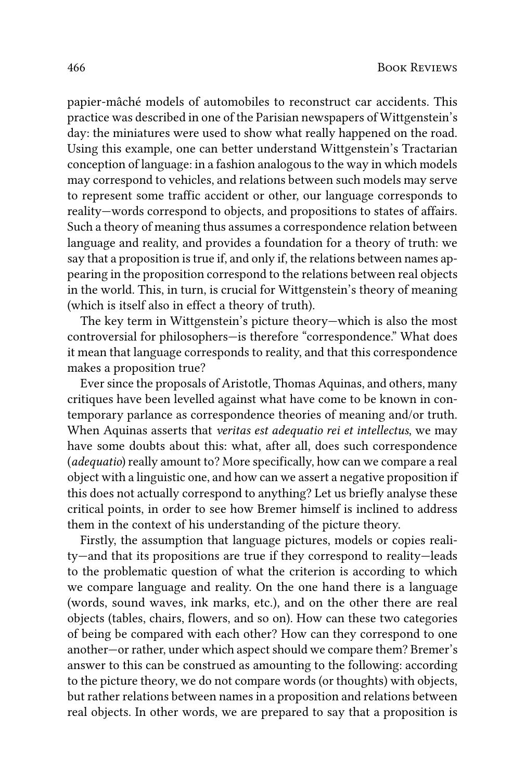papier-mâché models of automobiles to reconstruct car accidents. This practice was described in one of the Parisian newspapers of Wittgenstein's day: the miniatures were used to show what really happened on the road. Using this example, one can better understand Wittgenstein's Tractarian conception of language: in a fashion analogous to the way in which models may correspond to vehicles, and relations between such models may serve to represent some traffic accident or other, our language corresponds to reality—words correspond to objects, and propositions to states of affairs. Such a theory of meaning thus assumes a correspondence relation between language and reality, and provides a foundation for a theory of truth: we say that a proposition is true if, and only if, the relations between names appearing in the proposition correspond to the relations between real objects in the world. This, in turn, is crucial for Wittgenstein's theory of meaning (which is itself also in effect a theory of truth).

The key term in Wittgenstein's picture theory—which is also the most controversial for philosophers—is therefore "correspondence." What does it mean that language corresponds to reality, and that this correspondence makes a proposition true?

Ever since the proposals of Aristotle, Thomas Aquinas, and others, many critiques have been levelled against what have come to be known in contemporary parlance as correspondence theories of meaning and/or truth. When Aquinas asserts that *veritas est adequatio rei et intellectus*, we may have some doubts about this: what, after all, does such correspondence (*adequatio*) really amount to? More specifically, how can we compare a real object with a linguistic one, and how can we assert a negative proposition if this does not actually correspond to anything? Let us briefly analyse these critical points, in order to see how Bremer himself is inclined to address them in the context of his understanding of the picture theory.

Firstly, the assumption that language pictures, models or copies reality—and that its propositions are true if they correspond to reality—leads to the problematic question of what the criterion is according to which we compare language and reality. On the one hand there is a language (words, sound waves, ink marks, etc.), and on the other there are real objects (tables, chairs, flowers, and so on). How can these two categories of being be compared with each other? How can they correspond to one another—or rather, under which aspect should we compare them? Bremer's answer to this can be construed as amounting to the following: according to the picture theory, we do not compare words (or thoughts) with objects, but rather relations between names in a proposition and relations between real objects. In other words, we are prepared to say that a proposition is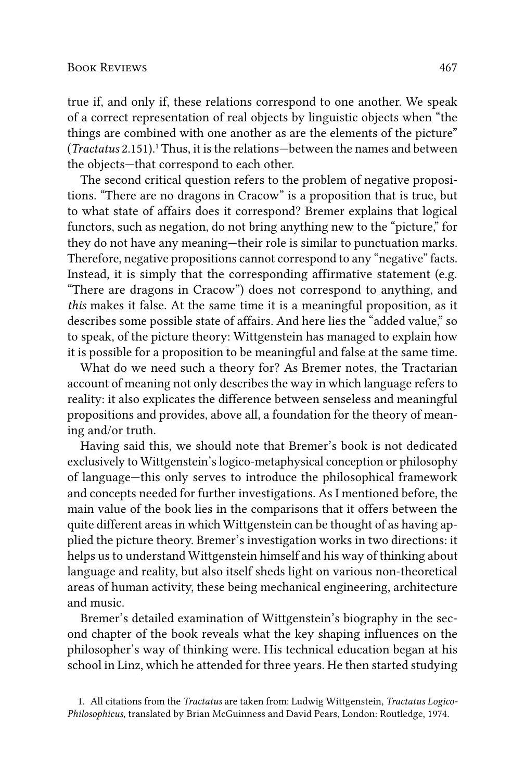true if, and only if, these relations correspond to one another. We speak of a correct representation of real objects by linguistic objects when "the things are combined with one another as are the elements of the picture" (*Tractatus* 2.151).1 Thus, it is the relations—between the names and between the objects—that correspond to each other.

The second critical question refers to the problem of negative propositions. "There are no dragons in Cracow" is a proposition that is true, but to what state of affairs does it correspond? Bremer explains that logical functors, such as negation, do not bring anything new to the "picture," for they do not have any meaning—their role is similar to punctuation marks. Therefore, negative propositions cannot correspond to any "negative" facts. Instead, it is simply that the corresponding affirmative statement (e.g. "There are dragons in Cracow") does not correspond to anything, and *this* makes it false. At the same time it is a meaningful proposition, as it describes some possible state of affairs. And here lies the "added value," so to speak, of the picture theory: Wittgenstein has managed to explain how it is possible for a proposition to be meaningful and false at the same time.

What do we need such a theory for? As Bremer notes, the Tractarian account of meaning not only describes the way in which language refers to reality: it also explicates the difference between senseless and meaningful propositions and provides, above all, a foundation for the theory of meaning and/or truth.

Having said this, we should note that Bremer's book is not dedicated exclusively to Wittgenstein's logico-metaphysical conception or philosophy of language—this only serves to introduce the philosophical framework and concepts needed for further investigations. As I mentioned before, the main value of the book lies in the comparisons that it offers between the quite different areas in which Wittgenstein can be thought of as having applied the picture theory. Bremer's investigation works in two directions: it helps us to understand Wittgenstein himself and his way of thinking about language and reality, but also itself sheds light on various non-theoretical areas of human activity, these being mechanical engineering, architecture and music.

Bremer's detailed examination of Wittgenstein's biography in the second chapter of the book reveals what the key shaping influences on the philosopher's way of thinking were. His technical education began at his school in Linz, which he attended for three years. He then started studying

1. All citations from the *Tractatus* are taken from: Ludwig Wittgenstein, *Tractatus Logico-Philosophicus*, translated by Brian McGuinness and David Pears, London: Routledge, 1974.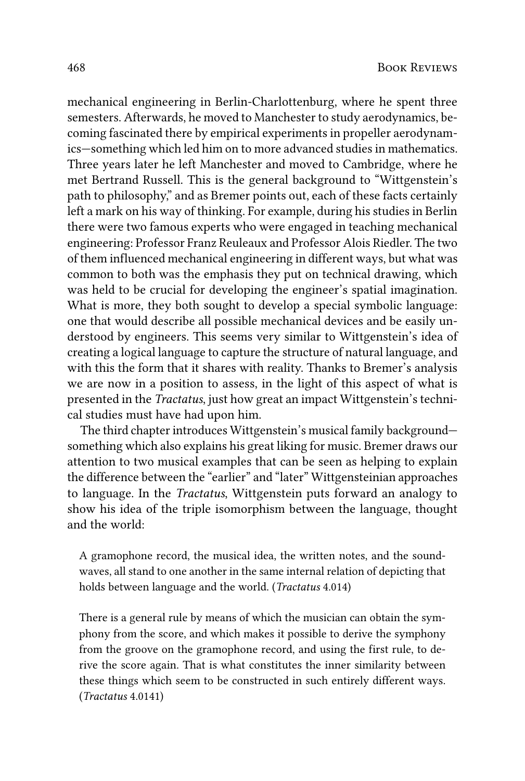mechanical engineering in Berlin-Charlottenburg, where he spent three semesters. Afterwards, he moved to Manchester to study aerodynamics, becoming fascinated there by empirical experiments in propeller aerodynamics—something which led him on to more advanced studies in mathematics. Three years later he left Manchester and moved to Cambridge, where he met Bertrand Russell. This is the general background to "Wittgenstein's path to philosophy," and as Bremer points out, each of these facts certainly left a mark on his way of thinking. For example, during his studies in Berlin there were two famous experts who were engaged in teaching mechanical engineering: Professor Franz Reuleaux and Professor Alois Riedler. The two of them influenced mechanical engineering in different ways, but what was common to both was the emphasis they put on technical drawing, which was held to be crucial for developing the engineer's spatial imagination. What is more, they both sought to develop a special symbolic language: one that would describe all possible mechanical devices and be easily understood by engineers. This seems very similar to Wittgenstein's idea of creating a logical language to capture the structure of natural language, and with this the form that it shares with reality. Thanks to Bremer's analysis we are now in a position to assess, in the light of this aspect of what is presented in the *Tractatus*, just how great an impact Wittgenstein's technical studies must have had upon him.

The third chapter introduces Wittgenstein's musical family background something which also explains his great liking for music. Bremer draws our attention to two musical examples that can be seen as helping to explain the difference between the "earlier" and "later" Wittgensteinian approaches to language. In the *Tractatus*, Wittgenstein puts forward an analogy to show his idea of the triple isomorphism between the language, thought and the world:

A gramophone record, the musical idea, the written notes, and the soundwaves, all stand to one another in the same internal relation of depicting that holds between language and the world. (*Tractatus* 4.014)

There is a general rule by means of which the musician can obtain the symphony from the score, and which makes it possible to derive the symphony from the groove on the gramophone record, and using the first rule, to derive the score again. That is what constitutes the inner similarity between these things which seem to be constructed in such entirely different ways. (*Tractatus* 4.0141)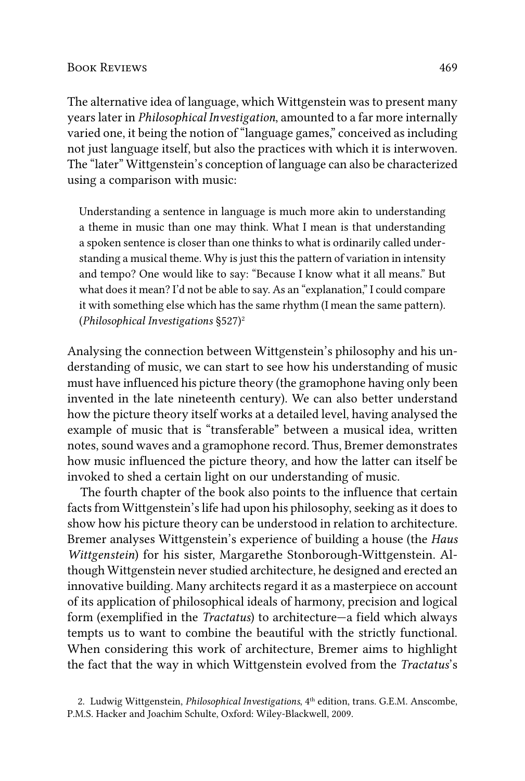The alternative idea of language, which Wittgenstein was to present many years later in *Philosophical Investigation*, amounted to a far more internally varied one, it being the notion of "language games," conceived as including not just language itself, but also the practices with which it is interwoven. The "later" Wittgenstein's conception of language can also be characterized using a comparison with music:

Understanding a sentence in language is much more akin to understanding a theme in music than one may think. What I mean is that understanding a spoken sentence is closer than one thinks to what is ordinarily called understanding a musical theme. Why is just this the pattern of variation in intensity and tempo? One would like to say: "Because I know what it all means." But what does it mean? I'd not be able to say. As an "explanation," I could compare it with something else which has the same rhythm (I mean the same pattern). (*Philosophical Investigations* §527)2

Analysing the connection between Wittgenstein's philosophy and his understanding of music, we can start to see how his understanding of music must have influenced his picture theory (the gramophone having only been invented in the late nineteenth century). We can also better understand how the picture theory itself works at a detailed level, having analysed the example of music that is "transferable" between a musical idea, written notes, sound waves and a gramophone record. Thus, Bremer demonstrates how music influenced the picture theory, and how the latter can itself be invoked to shed a certain light on our understanding of music.

The fourth chapter of the book also points to the influence that certain facts from Wittgenstein's life had upon his philosophy, seeking as it does to show how his picture theory can be understood in relation to architecture. Bremer analyses Wittgenstein's experience of building a house (the *Haus Wittgenstein*) for his sister, Margarethe Stonborough-Wittgenstein. Although Wittgenstein never studied architecture, he designed and erected an innovative building. Many architects regard it as a masterpiece on account of its application of philosophical ideals of harmony, precision and logical form (exemplified in the *Tractatus*) to architecture—a field which always tempts us to want to combine the beautiful with the strictly functional. When considering this work of architecture, Bremer aims to highlight the fact that the way in which Wittgenstein evolved from the *Tractatus*'s

<sup>2.</sup> Ludwig Wittgenstein, *Philosophical Investigations*, 4<sup>th</sup> edition, trans. G.E.M. Anscombe, P.M.S. Hacker and Joachim Schulte, Oxford: Wiley-Blackwell, 2009.